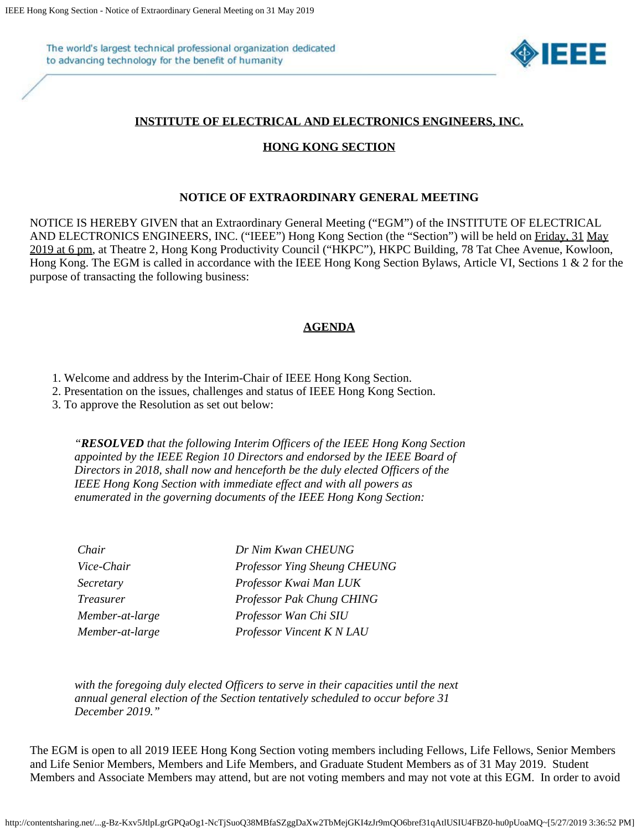The world's largest technical professional organization dedicated to advancing technology for the benefit of humanity



## **INSTITUTE OF ELECTRICAL AND ELECTRONICS ENGINEERS, INC.**

## **HONG KONG SECTION**

## **NOTICE OF EXTRAORDINARY GENERAL MEETING**

NOTICE IS HEREBY GIVEN that an Extraordinary General Meeting ("EGM") of the INSTITUTE OF ELECTRICAL AND ELECTRONICS ENGINEERS, INC. ("IEEE") Hong Kong Section (the "Section") will be held on Friday, 31 May 2019 at 6 pm, at Theatre 2, Hong Kong Productivity Council ("HKPC"), HKPC Building, 78 Tat Chee Avenue, Kowloon, Hong Kong. The EGM is called in accordance with the IEEE Hong Kong Section Bylaws, Article VI, Sections 1 & 2 for the purpose of transacting the following business:

## **AGENDA**

1. Welcome and address by the Interim-Chair of IEEE Hong Kong Section.

2. Presentation on the issues, challenges and status of IEEE Hong Kong Section.

3. To approve the Resolution as set out below:

*"RESOLVED that the following Interim Officers of the IEEE Hong Kong Section appointed by the IEEE Region 10 Directors and endorsed by the IEEE Board of Directors in 2018, shall now and henceforth be the duly elected Officers of the IEEE Hong Kong Section with immediate effect and with all powers as enumerated in the governing documents of the IEEE Hong Kong Section:*

| Chair            | Dr Nim Kwan CHEUNG           |
|------------------|------------------------------|
| Vice-Chair       | Professor Ying Sheung CHEUNG |
| Secretary        | Professor Kwai Man LUK       |
| <i>Treasurer</i> | Professor Pak Chung CHING    |
| Member-at-large  | Professor Wan Chi SIU        |
| Member-at-large  | Professor Vincent K N LAU    |

*with the foregoing duly elected Officers to serve in their capacities until the next annual general election of the Section tentatively scheduled to occur before 31 December 2019."*

The EGM is open to all 2019 IEEE Hong Kong Section voting members including Fellows, Life Fellows, Senior Members and Life Senior Members, Members and Life Members, and Graduate Student Members as of 31 May 2019. Student Members and Associate Members may attend, but are not voting members and may not vote at this EGM. In order to avoid